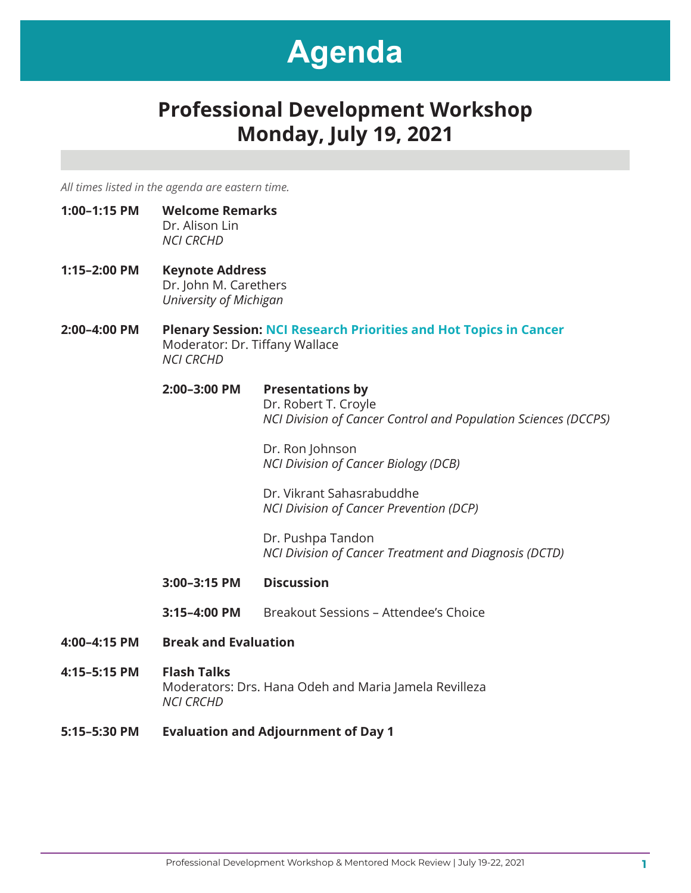### **Professional Development Workshop Monday, July 19, 2021**

*All times listed in the agenda are eastern time.*

- **1:00–1:15 PM Welcome Remarks** Dr. Alison Lin *NCI CRCHD*
- **1:15–2:00 PM Keynote Address** Dr. John M. Carethers *University of Michigan*
- **2:00–4:00 PM Plenary Session: NCI Research Priorities and Hot Topics in Cancer** Moderator: Dr. Tiffany Wallace *NCI CRCHD*

#### **2:00–3:00 PM Presentations by** Dr. Robert T. Croyle

 *NCI Division of Cancer Control and Population Sciences (DCCPS)*

Dr. Ron Johnson *NCI Division of Cancer Biology (DCB)*

Dr. Vikrant Sahasrabuddhe  *NCI Division of Cancer Prevention (DCP)*

Dr. Pushpa Tandon  *NCI Division of Cancer Treatment and Diagnosis (DCTD)*

- **3:00–3:15 PM Discussion**
- **3:15–4:00 PM** Breakout Sessions Attendee's Choice
- **4:00–4:15 PM Break and Evaluation**
- **4:15–5:15 PM Flash Talks** Moderators: Drs. Hana Odeh and Maria Jamela Revilleza *NCI CRCHD*
- **5:15–5:30 PM Evaluation and Adjournment of Day 1**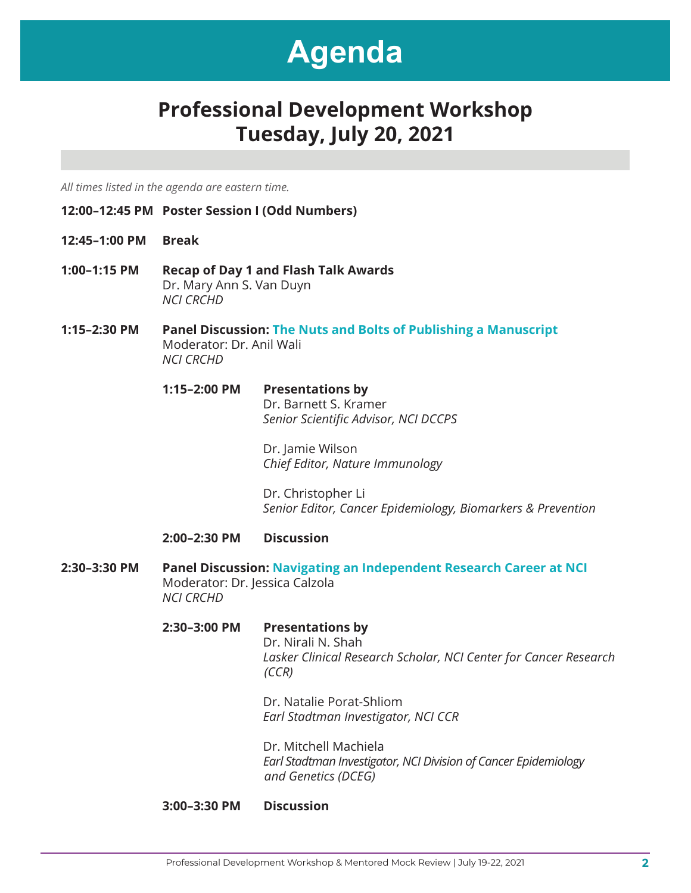### **Professional Development Workshop Tuesday, July 20, 2021**

*All times listed in the agenda are eastern time.*

- **12:00–12:45 PM Poster Session I (Odd Numbers)**
- **12:45–1:00 PM Break**
- **1:00–1:15 PM Recap of Day 1 and Flash Talk Awards** Dr. Mary Ann S. Van Duyn *NCI CRCHD*
- **1:15–2:30 PM Panel Discussion: The Nuts and Bolts of Publishing a Manuscript** Moderator: Dr. Anil Wali *NCI CRCHD*

#### **1:15–2:00 PM Presentations by** Dr. Barnett S. Kramer *Senior Scientific Advisor, NCI DCCPS*

 Dr. Jamie Wilson *Chief Editor, Nature Immunology* 

 Dr. Christopher Li *Senior Editor, Cancer Epidemiology, Biomarkers & Prevention*

#### **2:00–2:30 PM Discussion**

- **2:30–3:30 PM Panel Discussion: Navigating an Independent Research Career at NCI** Moderator: Dr. Jessica Calzola *NCI CRCHD*
	- **2:30–3:00 PM Presentations by** Dr. Nirali N. Shah *Lasker Clinical Research Scholar, NCI Center for Cancer Research (CCR)*

 Dr. Natalie Porat-Shliom *Earl Stadtman Investigator, NCI CCR* 

 Dr. Mitchell Machiela *Earl Stadtman Investigator, NCI Division of Cancer Epidemiology and Genetics (DCEG)* 

#### **3:00–3:30 PM Discussion**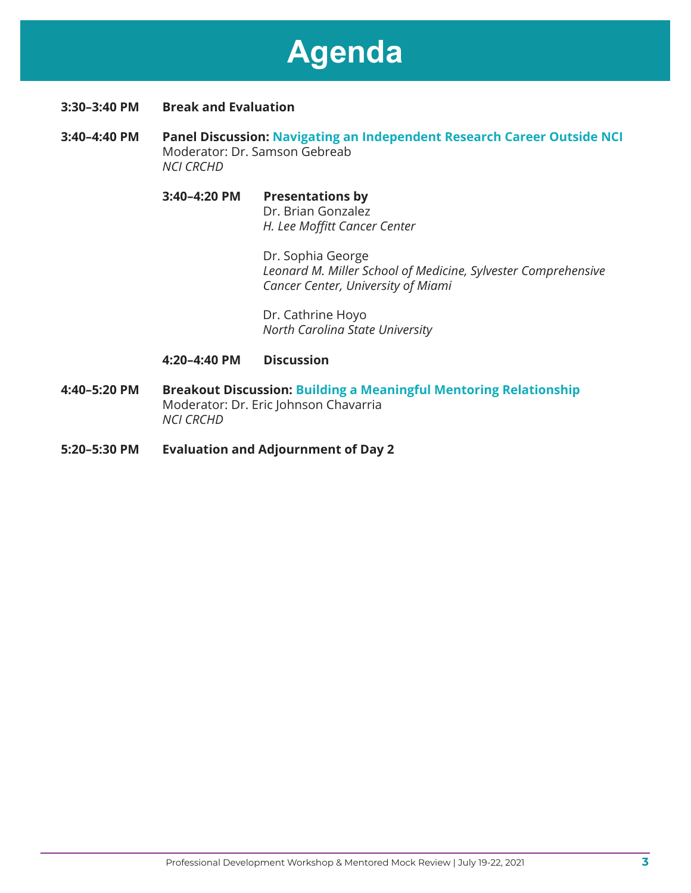- **3:30–3:40 PM Break and Evaluation**
- **3:40–4:40 PM Panel Discussion: Navigating an Independent Research Career Outside NCI** Moderator: Dr. Samson Gebreab *NCI CRCHD*

### **3:40–4:20 PM Presentations by** Dr. Brian Gonzalez *H. Lee Moffitt Cancer Center*

 Dr. Sophia George *Leonard M. Miller School of Medicine, Sylvester Comprehensive Cancer Center, University of Miami*

Dr. Cathrine Hoyo *North Carolina State University*

### **4:20–4:40 PM Discussion**

- **4:40–5:20 PM Breakout Discussion: Building a Meaningful Mentoring Relationship** Moderator: Dr. Eric Johnson Chavarria *NCI CRCHD*
- **5:20–5:30 PM Evaluation and Adjournment of Day 2**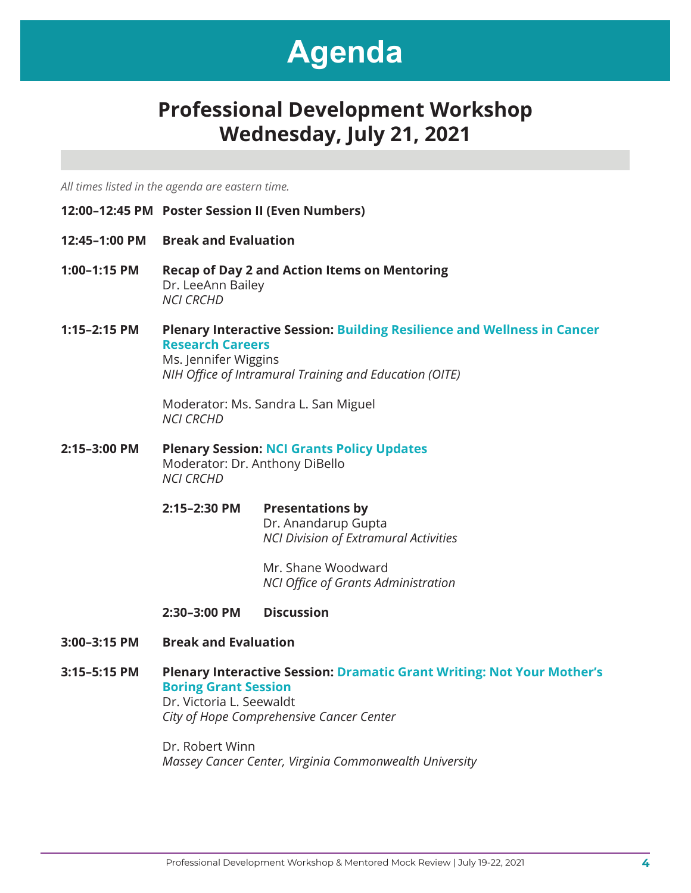### **Professional Development Workshop Wednesday, July 21, 2021**

*All times listed in the agenda are eastern time.*

- **12:00–12:45 PM Poster Session II (Even Numbers)**
- **12:45–1:00 PM Break and Evaluation**
- **1:00–1:15 PM Recap of Day 2 and Action Items on Mentoring** Dr. LeeAnn Bailey *NCI CRCHD*
- **1:15–2:15 PM Plenary Interactive Session: Building Resilience and Wellness in Cancer Research Careers** Ms. Jennifer Wiggins

*NIH Office of Intramural Training and Education (OITE)*

Moderator: Ms. Sandra L. San Miguel *NCI CRCHD* 

- **2:15–3:00 PM Plenary Session: NCI Grants Policy Updates** Moderator: Dr. Anthony DiBello *NCI CRCHD*
	- **2:15–2:30 PM Presentations by** Dr. Anandarup Gupta *NCI Division of Extramural Activities*

 Mr. Shane Woodward *NCI Office of Grants Administration* 

- **2:30–3:00 PM Discussion**
- **3:00–3:15 PM Break and Evaluation**
- **3:15–5:15 PM Plenary Interactive Session: Dramatic Grant Writing: Not Your Mother's Boring Grant Session** Dr. Victoria L. Seewaldt *City of Hope Comprehensive Cancer Center*

Dr. Robert Winn *Massey Cancer Center, Virginia Commonwealth University*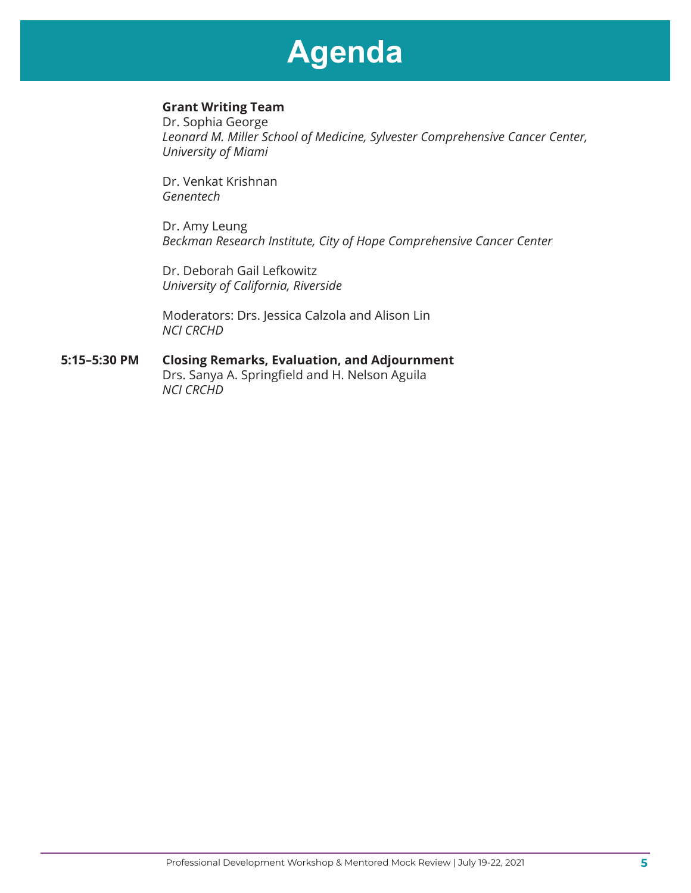### **Grant Writing Team**

Dr. Sophia George *Leonard M. Miller School of Medicine, Sylvester Comprehensive Cancer Center, University of Miami*

Dr. Venkat Krishnan *Genentech*

Dr. Amy Leung *Beckman Research Institute, City of Hope Comprehensive Cancer Center* 

Dr. Deborah Gail Lefkowitz *University of California, Riverside*

Moderators: Drs. Jessica Calzola and Alison Lin *NCI CRCHD*

#### **5:15–5:30 PM Closing Remarks, Evaluation, and Adjournment**  Drs. Sanya A. Springfield and H. Nelson Aguila *NCI CRCHD*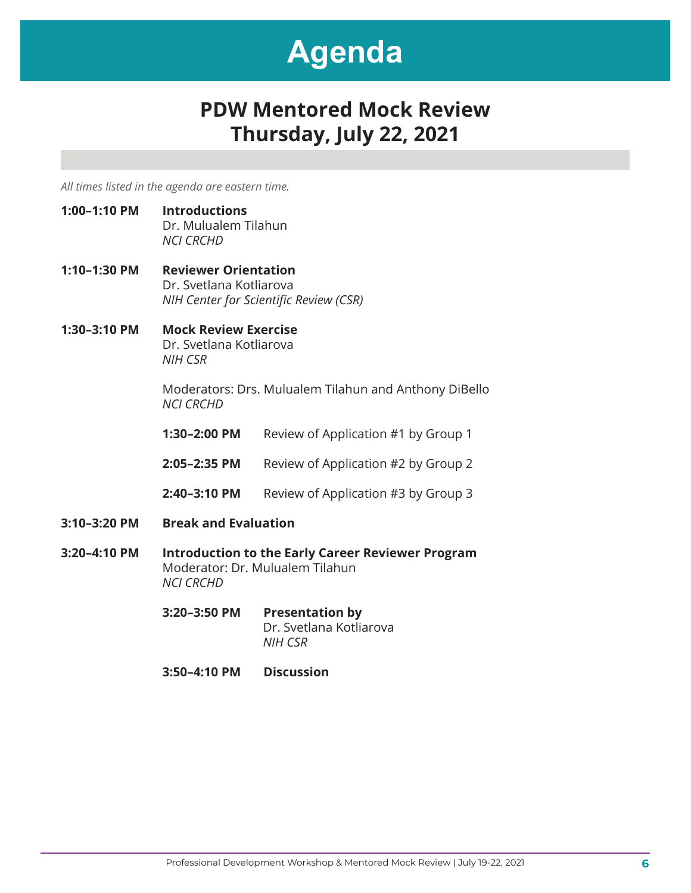### **PDW Mentored Mock Review Thursday, July 22, 2021**

*All times listed in the agenda are eastern time.*

- **1:00–1:10 PM Introductions** Dr. Mulualem Tilahun *NCI CRCHD*
- **1:10–1:30 PM Reviewer Orientation** Dr. Svetlana Kotliarova *NIH Center for Scientific Review (CSR)*
- **1:30–3:10 PM Mock Review Exercise** Dr. Svetlana Kotliarova *NIH CSR*

Moderators: Drs. Mulualem Tilahun and Anthony DiBello *NCI CRCHD*

**1:30-2:00 PM** Review of Application #1 by Group 1

**2:05-2:35 PM** Review of Application #2 by Group 2

- **2:40-3:10 PM** Review of Application #3 by Group 3
- **3:10–3:20 PM Break and Evaluation**
- **3:20–4:10 PM Introduction to the Early Career Reviewer Program**  Moderator: Dr. Mulualem Tilahun *NCI CRCHD*
	- **3:20–3:50 PM Presentation by**  Dr. Svetlana Kotliarova *NIH CSR*
	- **3:50–4:10 PM Discussion**